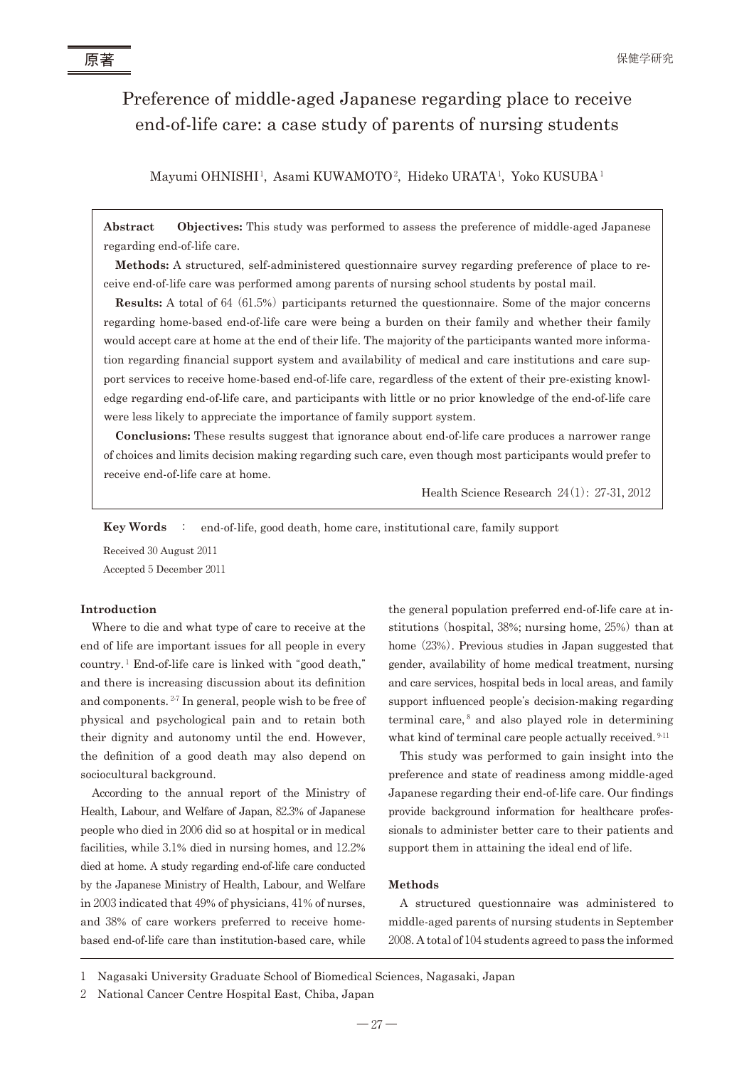# Preference of middle-aged Japanese regarding place to receive end-of-life care: a case study of parents of nursing students

Mayumi OHNISHI', Asami KUWAMOTO<sup>2</sup>, Hideko URATA', Yoko KUSUBA'

**Abstract Objectives:** This study was performed to assess the preference of middle-aged Japanese regarding end-of-life care.

**Methods:** A structured, self-administered questionnaire survey regarding preference of place to receive end-of-life care was performed among parents of nursing school students by postal mail.

**Results:** A total of 64 (61.5%) participants returned the questionnaire. Some of the major concerns regarding home-based end-of-life care were being a burden on their family and whether their family would accept care at home at the end of their life. The majority of the participants wanted more information regarding financial support system and availability of medical and care institutions and care support services to receive home-based end-of-life care, regardless of the extent of their pre-existing knowledge regarding end-of-life care, and participants with little or no prior knowledge of the end-of-life care were less likely to appreciate the importance of family support system.

**Conclusions:** These results suggest that ignorance about end-of-life care produces a narrower range of choices and limits decision making regarding such care, even though most participants would prefer to receive end-of-life care at home.

Health Science Research 24(1): 27-31, 2012

**Key Words** : end-of-life, good death, home care, institutional care, family support

Received 30 August 2011 Accepted 5 December 2011

## **Introduction**

Where to die and what type of care to receive at the end of life are important issues for all people in every country.<sup>1</sup> End-of-life care is linked with "good death," and there is increasing discussion about its definition and components. <sup>2</sup>-<sup>7</sup> In general, people wish to be free of physical and psychological pain and to retain both their dignity and autonomy until the end. However, the definition of a good death may also depend on sociocultural background.

According to the annual report of the Ministry of Health, Labour, and Welfare of Japan, 82.3% of Japanese people who died in 2006 did so at hospital or in medical facilities, while 3.1% died in nursing homes, and 12.2% died at home. A study regarding end-of-life care conducted by the Japanese Ministry of Health, Labour, and Welfare in 2003 indicated that 49% of physicians, 41% of nurses, and 38% of care workers preferred to receive homebased end-of-life care than institution-based care, while

the general population preferred end-of-life care at institutions (hospital,  $38\%$ ; nursing home,  $25\%$ ) than at home (23%). Previous studies in Japan suggested that gender, availability of home medical treatment, nursing and care services, hospital beds in local areas, and family support influenced people's decision-making regarding terminal care, $8$  and also played role in determining what kind of terminal care people actually received. <sup>9-11</sup>

This study was performed to gain insight into the preference and state of readiness among middle-aged Japanese regarding their end-of-life care. Our findings provide background information for healthcare professionals to administer better care to their patients and support them in attaining the ideal end of life.

# **Methods**

A structured questionnaire was administered to middle-aged parents of nursing students in September 2008. A total of 104 students agreed to pass the informed

原著

<sup>1</sup> Nagasaki University Graduate School of Biomedical Sciences, Nagasaki, Japan

<sup>2</sup> National Cancer Centre Hospital East, Chiba, Japan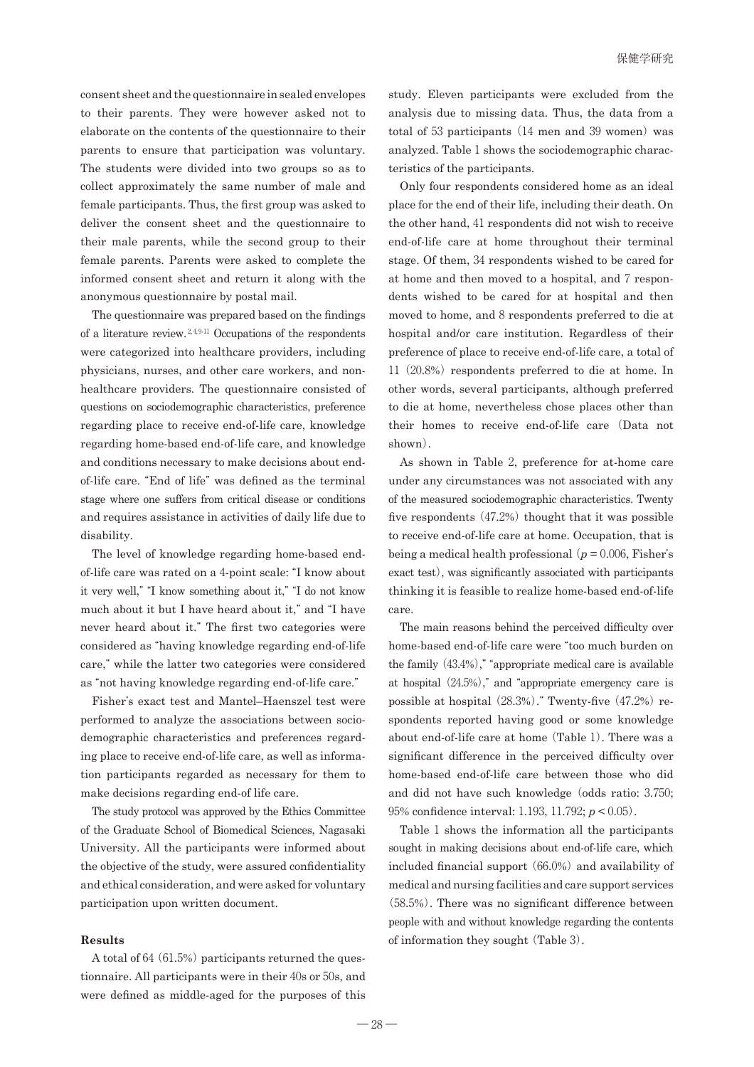consent sheet and the questionnaire in sealed envelopes to their parents. They were however asked not to elaborate on the contents of the questionnaire to their parents to ensure that participation was voluntary. The students were divided into two groups so as to collect approximately the same number of male and female participants. Thus, the first group was asked to deliver the consent sheet and the questionnaire to their male parents, while the second group to their female parents. Parents were asked to complete the informed consent sheet and return it along with the anonymous questionnaire by postal mail.

The questionnaire was prepared based on the findings of a literature review.  $2,4,9,11$  Occupations of the respondents were categorized into healthcare providers, including physicians, nurses, and other care workers, and nonhealthcare providers. The questionnaire consisted of questions on sociodemographic characteristics, preference regarding place to receive end-of-life care, knowledge regarding home-based end-of-life care, and knowledge and conditions necessary to make decisions about endof-life care. "End of life" was defined as the terminal stage where one suffers from critical disease or conditions and requires assistance in activities of daily life due to disability.

The level of knowledge regarding home-based endof-life care was rated on a 4-point scale: "I know about it very well," "I know something about it," "I do not know much about it but I have heard about it," and "I have never heard about it." The first two categories were considered as "having knowledge regarding end-of-life care," while the latter two categories were considered as "not having knowledge regarding end-of-life care."

Fisher's exact test and Mantel–Haenszel test were performed to analyze the associations between sociodemographic characteristics and preferences regarding place to receive end-of-life care, as well as information participants regarded as necessary for them to make decisions regarding end-of life care.

The study protocol was approved by the Ethics Committee of the Graduate School of Biomedical Sciences, Nagasaki University. All the participants were informed about the objective of the study, were assured confidentiality and ethical consideration, and were asked for voluntary participation upon written document.

#### **Results**

A total of 64 $(61.5%)$  participants returned the questionnaire. All participants were in their 40s or 50s, and were defined as middle-aged for the purposes of this

study. Eleven participants were excluded from the analysis due to missing data. Thus, the data from a total of 53 participants  $(14 \text{ men and } 39 \text{ women})$  was analyzed. Table 1 shows the sociodemographic characteristics of the participants.

Only four respondents considered home as an ideal place for the end of their life, including their death. On the other hand, 41 respondents did not wish to receive end-of-life care at home throughout their terminal stage. Of them, 34 respondents wished to be cared for at home and then moved to a hospital, and 7 respondents wished to be cared for at hospital and then moved to home, and 8 respondents preferred to die at hospital and/or care institution. Regardless of their preference of place to receive end-of-life care, a total of  $11(20.8%)$  respondents preferred to die at home. In other words, several participants, although preferred to die at home, nevertheless chose places other than their homes to receive end-of-life care (Data not shown).

As shown in Table 2, preference for at-home care under any circumstances was not associated with any of the measured sociodemographic characteristics. Twenty five respondents  $(47.2%)$  thought that it was possible to receive end-of-life care at home. Occupation, that is being a medical health professional  $(p = 0.006,$  Fisher's exact test), was significantly associated with participants thinking it is feasible to realize home-based end-of-life care.

The main reasons behind the perceived difficulty over home-based end-of-life care were "too much burden on the family  $(43.4\%)$ ," "appropriate medical care is available at hospital  $(24.5%)$ ," and "appropriate emergency care is possible at hospital  $(28.3%)$ ." Twenty-five  $(47.2%)$  respondents reported having good or some knowledge about end-of-life care at home(Table 1). There was a significant difference in the perceived difficulty over home-based end-of-life care between those who did and did not have such knowledge (odds ratio: 3.750; 95% confidence interval: 1.193, 11.792; *p* < 0.05).

Table 1 shows the information all the participants sought in making decisions about end-of-life care, which included financial support  $(66.0%)$  and availability of medical and nursing facilities and care support services (58.5%). There was no significant difference between people with and without knowledge regarding the contents of information they sought (Table 3).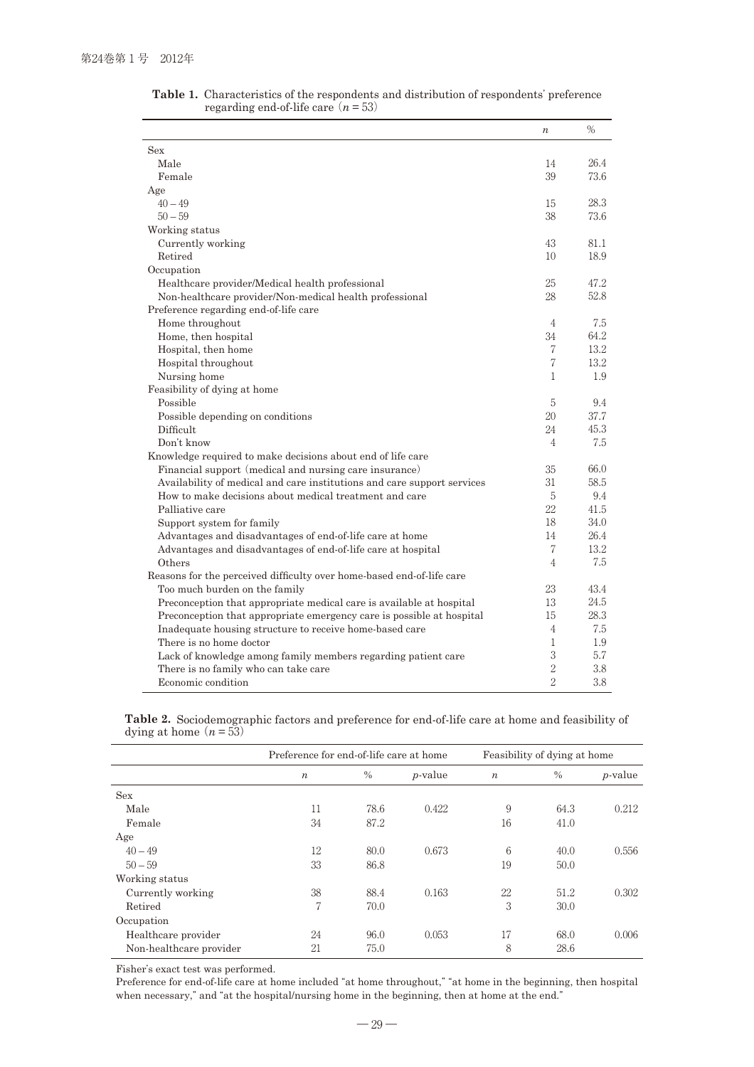|                                                                         | $\boldsymbol{n}$ | %    |
|-------------------------------------------------------------------------|------------------|------|
| Sex                                                                     |                  |      |
| Male                                                                    | 14               | 26.4 |
| Female                                                                  | 39               | 73.6 |
| Age                                                                     |                  |      |
| $40 - 49$                                                               | 15               | 28.3 |
| $50 - 59$                                                               | 38               | 73.6 |
| Working status                                                          |                  |      |
| Currently working                                                       | 43               | 81.1 |
| Retired                                                                 | 10               | 18.9 |
| Occupation                                                              |                  |      |
| Healthcare provider/Medical health professional                         | 25               | 47.2 |
| Non-healthcare provider/Non-medical health professional                 | 28               | 52.8 |
| Preference regarding end-of-life care                                   |                  |      |
| Home throughout                                                         | 4                | 7.5  |
| Home, then hospital                                                     | 34               | 64.2 |
| Hospital, then home                                                     | 7                | 13.2 |
| Hospital throughout                                                     | 7                | 13.2 |
| Nursing home                                                            | $\mathbf{1}$     | 1.9  |
| Feasibility of dying at home                                            |                  |      |
| Possible                                                                | 5                | 9.4  |
| Possible depending on conditions                                        | 20               | 37.7 |
| Difficult                                                               | 24               | 45.3 |
| Don't know                                                              | $\overline{4}$   | 7.5  |
| Knowledge required to make decisions about end of life care             |                  |      |
| Financial support (medical and nursing care insurance)                  | 35               | 66.0 |
| Availability of medical and care institutions and care support services | 31               | 58.5 |
| How to make decisions about medical treatment and care                  | 5                | 9.4  |
| Palliative care                                                         | 22               | 41.5 |
| Support system for family                                               | 18               | 34.0 |
| Advantages and disadvantages of end-of-life care at home                | 14               | 26.4 |
| Advantages and disadvantages of end-of-life care at hospital            | 7                | 13.2 |
| Others                                                                  | 4                | 7.5  |
| Reasons for the perceived difficulty over home-based end-of-life care   |                  |      |
| Too much burden on the family                                           | 23               | 43.4 |
| Preconception that appropriate medical care is available at hospital    | 13               | 24.5 |
| Preconception that appropriate emergency care is possible at hospital   | 15               | 28.3 |
| Inadequate housing structure to receive home-based care                 | 4                | 7.5  |
| There is no home doctor                                                 | $\mathbf{1}$     | 1.9  |
| Lack of knowledge among family members regarding patient care           | 3                | 5.7  |
| There is no family who can take care                                    | $\sqrt{2}$       | 3.8  |
| Economic condition                                                      | $\overline{2}$   | 3.8  |

**Table 1.** Characteristics of the respondents and distribution of respondents' preference regarding end-of-life care  $(n = 53)$ 

**Table 2.** Sociodemographic factors and preference for end-of-life care at home and feasibility of dying at home  $(n = 53)$ 

|                         | Preference for end-of-life care at home |      |            | Feasibility of dying at home |      |                 |  |
|-------------------------|-----------------------------------------|------|------------|------------------------------|------|-----------------|--|
|                         | $\boldsymbol{n}$                        | $\%$ | $p$ -value | $\boldsymbol{n}$             | $\%$ | <i>p</i> -value |  |
| <b>Sex</b>              |                                         |      |            |                              |      |                 |  |
| Male                    | 11                                      | 78.6 | 0.422      | 9                            | 64.3 | 0.212           |  |
| Female                  | 34                                      | 87.2 |            | 16                           | 41.0 |                 |  |
| Age                     |                                         |      |            |                              |      |                 |  |
| $40 - 49$               | 12                                      | 80.0 | 0.673      | 6                            | 40.0 | 0.556           |  |
| $50 - 59$               | 33                                      | 86.8 |            | 19                           | 50.0 |                 |  |
| Working status          |                                         |      |            |                              |      |                 |  |
| Currently working       | 38                                      | 88.4 | 0.163      | 22                           | 51.2 | 0.302           |  |
| Retired                 | 7                                       | 70.0 |            | 3                            | 30.0 |                 |  |
| Occupation              |                                         |      |            |                              |      |                 |  |
| Healthcare provider     | 24                                      | 96.0 | 0.053      | 17                           | 68.0 | 0.006           |  |
| Non-healthcare provider | 21                                      | 75.0 |            | 8                            | 28.6 |                 |  |

Fisher's exact test was performed.

Preference for end-of-life care at home included "at home throughout," "at home in the beginning, then hospital when necessary," and "at the hospital/nursing home in the beginning, then at home at the end."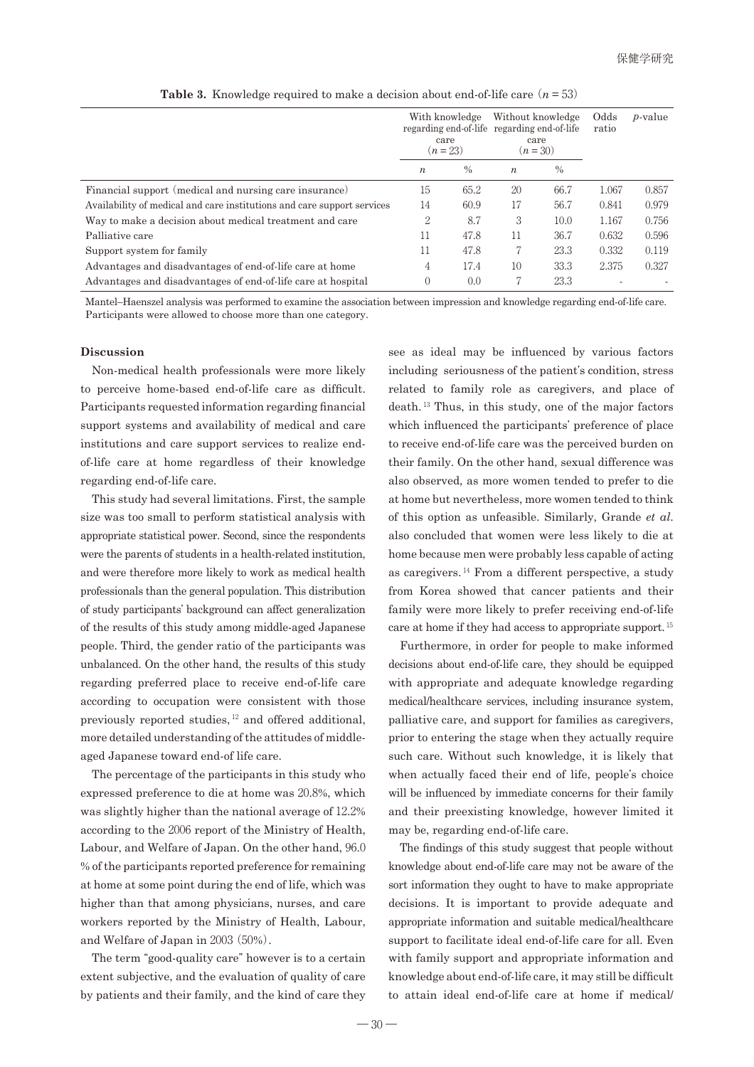|                                                                         | With knowledge<br>care<br>$(n=23)$ |               | Without knowledge<br>regarding end-of-life regarding end-of-life<br>care<br>$(n=30)$ |               | Odds<br>ratio | <i>p</i> -value |
|-------------------------------------------------------------------------|------------------------------------|---------------|--------------------------------------------------------------------------------------|---------------|---------------|-----------------|
|                                                                         | $\boldsymbol{n}$                   | $\frac{0}{0}$ | $\boldsymbol{n}$                                                                     | $\frac{0}{0}$ |               |                 |
| Financial support (medical and nursing care insurance)                  | 15                                 | 65.2          | 20                                                                                   | 66.7          | 1.067         | 0.857           |
| Availability of medical and care institutions and care support services | 14                                 | 60.9          | 17                                                                                   | 56.7          | 0.841         | 0.979           |
| Way to make a decision about medical treatment and care                 | 2                                  | 8.7           | 3                                                                                    | 10.0          | 1.167         | 0.756           |
| Palliative care                                                         | 11                                 | 47.8          | 11                                                                                   | 36.7          | 0.632         | 0.596           |
| Support system for family                                               | 11                                 | 47.8          |                                                                                      | 23.3          | 0.332         | 0.119           |
| Advantages and disadvantages of end-of-life care at home                | 4                                  | 17.4          | 10                                                                                   | 33.3          | 2.375         | 0.327           |
| Advantages and disadvantages of end-of-life care at hospital            | $\Omega$                           | 0.0           | 7                                                                                    | 23.3          |               |                 |

**Table 3.** Knowledge required to make a decision about end-of-life care  $(n = 53)$ 

Mantel–Haenszel analysis was performed to examine the association between impression and knowledge regarding end-of-life care. Participants were allowed to choose more than one category.

# **Discussion**

Non-medical health professionals were more likely to perceive home-based end-of-life care as difficult. Participants requested information regarding financial support systems and availability of medical and care institutions and care support services to realize endof-life care at home regardless of their knowledge regarding end-of-life care.

This study had several limitations. First, the sample size was too small to perform statistical analysis with appropriate statistical power. Second, since the respondents were the parents of students in a health-related institution, and were therefore more likely to work as medical health professionals than the general population. This distribution of study participants' background can affect generalization of the results of this study among middle-aged Japanese people. Third, the gender ratio of the participants was unbalanced. On the other hand, the results of this study regarding preferred place to receive end-of-life care according to occupation were consistent with those previously reported studies, <sup>12</sup> and offered additional, more detailed understanding of the attitudes of middleaged Japanese toward end-of life care.

The percentage of the participants in this study who expressed preference to die at home was 20.8%, which was slightly higher than the national average of 12.2% according to the 2006 report of the Ministry of Health, Labour, and Welfare of Japan. On the other hand, 96.0 % of the participants reported preference for remaining at home at some point during the end of life, which was higher than that among physicians, nurses, and care workers reported by the Ministry of Health, Labour, and Welfare of Japan in 2003(50%).

The term "good-quality care" however is to a certain extent subjective, and the evaluation of quality of care by patients and their family, and the kind of care they

see as ideal may be influenced by various factors including seriousness of the patient's condition, stress related to family role as caregivers, and place of death. <sup>13</sup> Thus, in this study, one of the major factors which influenced the participants' preference of place to receive end-of-life care was the perceived burden on their family. On the other hand, sexual difference was also observed, as more women tended to prefer to die at home but nevertheless, more women tended to think of this option as unfeasible. Similarly, Grande *et al*. also concluded that women were less likely to die at home because men were probably less capable of acting as caregivers.  $^{14}$  From a different perspective, a study from Korea showed that cancer patients and their family were more likely to prefer receiving end-of-life care at home if they had access to appropriate support. <sup>15</sup>

Furthermore, in order for people to make informed decisions about end-of-life care, they should be equipped with appropriate and adequate knowledge regarding medical/healthcare services, including insurance system, palliative care, and support for families as caregivers, prior to entering the stage when they actually require such care. Without such knowledge, it is likely that when actually faced their end of life, people's choice will be influenced by immediate concerns for their family and their preexisting knowledge, however limited it may be, regarding end-of-life care.

The findings of this study suggest that people without knowledge about end-of-life care may not be aware of the sort information they ought to have to make appropriate decisions. It is important to provide adequate and appropriate information and suitable medical/healthcare support to facilitate ideal end-of-life care for all. Even with family support and appropriate information and knowledge about end-of-life care, it may still be difficult to attain ideal end-of-life care at home if medical/